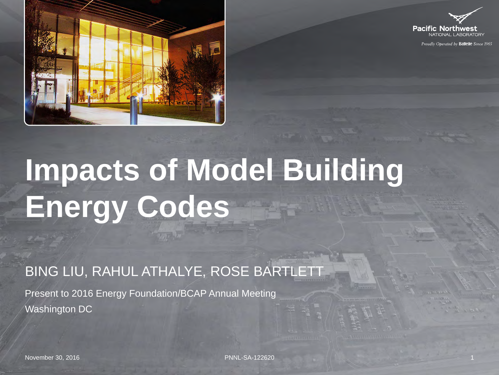



Proudly Operated by Battelle Since 1965

# **Impacts of Model Building Energy Codes**

BING LIU, RAHUL ATHALYE, ROSE BARTLETT

Present to 2016 Energy Foundation/BCAP Annual Meeting Washington DC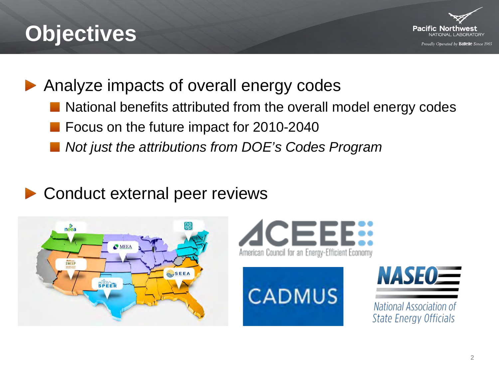# **Objectives**



Analyze impacts of overall energy codes

- National benefits attributed from the overall model energy codes
- Focus on the future impact for 2010-2040
- *Not just the attributions from DOE's Codes Program*

### Conduct external peer reviews









National Association of **State Energy Officials**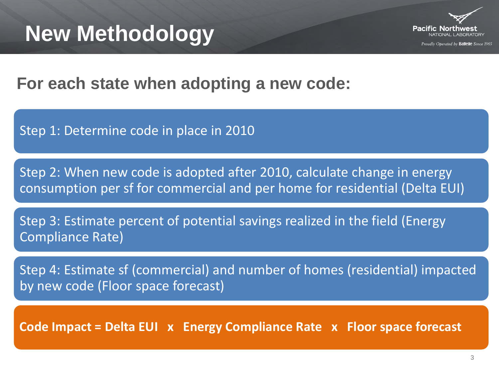

Proudly Oberated by **Battelle** Since 1965

**For each state when adopting a new code:**

Step 1: Determine code in place in 2010

Step 2: When new code is adopted after 2010, calculate change in energy consumption per sf for commercial and per home for residential (Delta EUI)

Step 3: Estimate percent of potential savings realized in the field (Energy Compliance Rate)

Step 4: Estimate sf (commercial) and number of homes (residential) impacted by new code (Floor space forecast)

**Code Impact = Delta EUI x Energy Compliance Rate x Floor space forecast**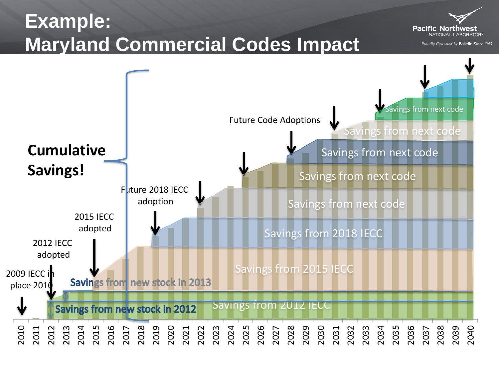### **Example: Maryland Commercial Codes Impact**



Proudly Operated by Ballelle Since 1965

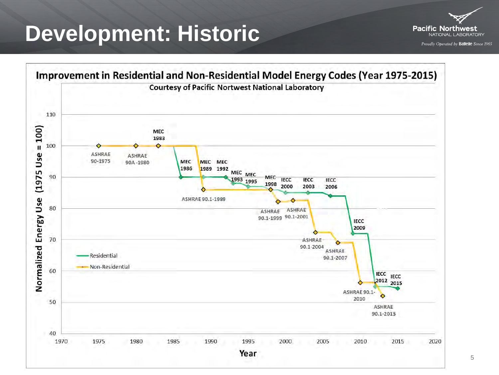### **Development: Historic**



Improvement in Residential and Non-Residential Model Energy Codes (Year 1975-2015) **Courtesy of Pacific Nortwest National Laboratory** 110  $= 100$ MEC 1983 100 Use **ASHRAE ASHRAE** 90-1975 **MEC** MEC MEC 90A-1980 1986 1989 1992  $(1975)$ MEC MEC 90 MEC 1993 1995 **IECC IECC IECC** 1998 2000 2003 2006 Energy Use ASHRAE 90.1-1989 80 **ASHRAE ASHRAE** 90.1-1999 90.1-2001 **IECC** 2009 70 **ASHRAE** Normalized 90.1-2004 **ASHRAE** Residential 90.1-2007 Non-Residential 60 **IECC IECC**  $2012$  2015 ASHRAE 90.1-۵ 2010 50 **ASHRAE** 90.1-2013 40 1970 1975 1980 1985 1995 2005 2020 1990 2000 2010 2015 Year

5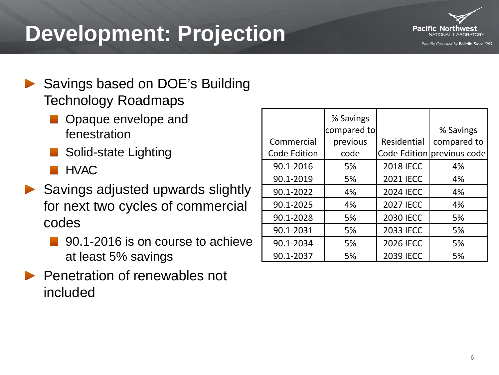# **Development: Projection**



- ▶ Savings based on DOE's Building Technology Roadmaps
	- Opaque envelope and fenestration
	- Solid-state Lighting
	- **HVAC**
- ▶ Savings adjusted upwards slightly for next two cycles of commercial codes
	- 90.1-2016 is on course to achieve at least 5% savings
- Penetration of renewables not included

|                     | % Savings   |                  |                            |
|---------------------|-------------|------------------|----------------------------|
|                     | compared to |                  | % Savings                  |
| Commercial          | previous    | Residential      | compared to                |
| <b>Code Edition</b> | code        |                  | Code Edition previous code |
| 90.1-2016           | 5%          | <b>2018 IECC</b> | 4%                         |
| 90.1-2019           | 5%          | <b>2021 IECC</b> | 4%                         |
| 90.1-2022           | 4%          | <b>2024 IECC</b> | 4%                         |
| 90.1-2025           | 4%          | <b>2027 IECC</b> | 4%                         |
| 90.1-2028           | 5%          | <b>2030 IECC</b> | 5%                         |
| 90.1-2031           | 5%          | <b>2033 IECC</b> | 5%                         |
| 90.1-2034           | 5%          | <b>2026 IECC</b> | 5%                         |
| 90.1-2037           | 5%          | <b>2039 IECC</b> | 5%                         |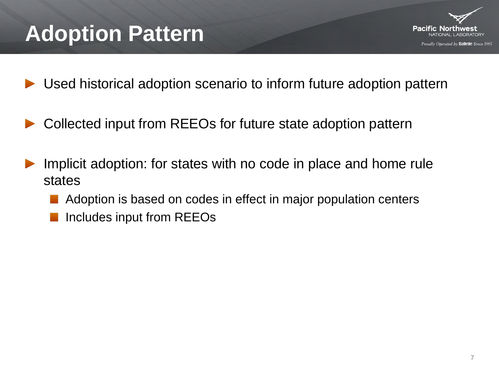# **Adoption Pattern**



- Used historical adoption scenario to inform future adoption pattern
- Collected input from REEOs for future state adoption pattern
- Implicit adoption: for states with no code in place and home rule states
	- Adoption is based on codes in effect in major population centers
	- Includes input from REEOs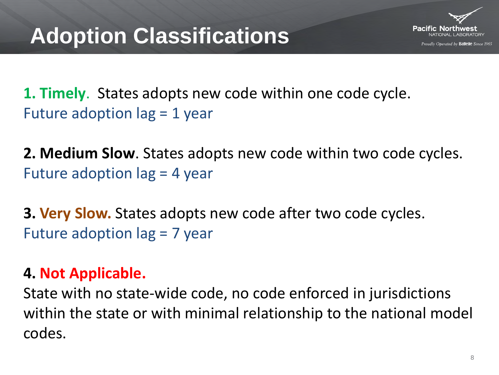

**1. Timely**. States adopts new code within one code cycle. Future adoption lag = 1 year

**2. Medium Slow**. States adopts new code within two code cycles. Future adoption lag = 4 year

**3. Very Slow.** States adopts new code after two code cycles. Future adoption lag = 7 year

#### **4. Not Applicable.**

State with no state-wide code, no code enforced in jurisdictions within the state or with minimal relationship to the national model codes.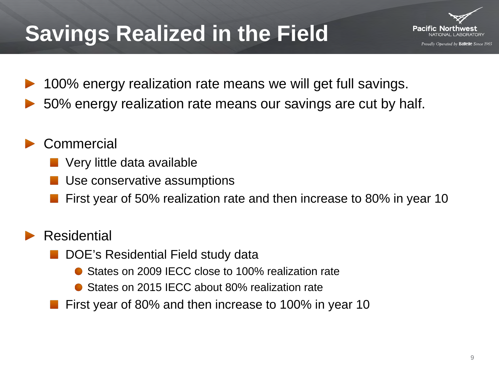# **Savings Realized in the Field**



- 100% energy realization rate means we will get full savings.
- 50% energy realization rate means our savings are cut by half.
- **Commercial** 
	- Very little data available
	- Use conservative assumptions
	- First year of 50% realization rate and then increase to 80% in year 10

#### Residential

- DOE's Residential Field study data
	- States on 2009 IECC close to 100% realization rate
	- States on 2015 IECC about 80% realization rate
- First year of 80% and then increase to 100% in year 10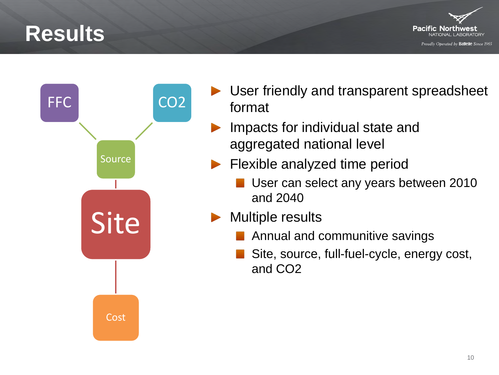### **Results**





- ▶ User friendly and transparent spreadsheet format
	- Impacts for individual state and aggregated national level
- Flexible analyzed time period
	- **User can select any years between 2010** and 2040
- Multiple results
	- **Annual and communitive savings**
	- Site, source, full-fuel-cycle, energy cost, and CO2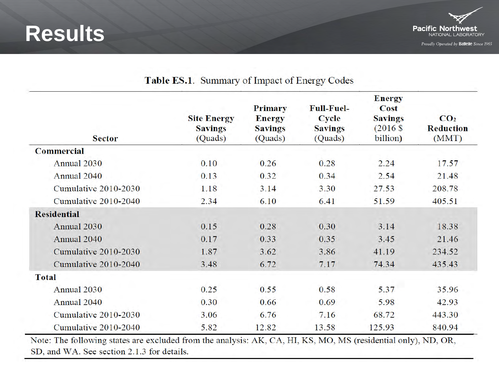



| <b>Sector</b>        | <b>Site Energy</b><br><b>Savings</b><br>(Quads) | <b>Primary</b><br><b>Energy</b><br><b>Savings</b><br>(Quads) | <b>Full-Fuel-</b><br><b>Cycle</b><br><b>Savings</b><br>(Quads) | <b>Energy</b><br>Cost<br><b>Savings</b><br>$(2016 \text{ s})$<br>billion) | CO <sub>2</sub><br><b>Reduction</b><br>(MMT) |
|----------------------|-------------------------------------------------|--------------------------------------------------------------|----------------------------------------------------------------|---------------------------------------------------------------------------|----------------------------------------------|
| <b>Commercial</b>    |                                                 |                                                              |                                                                |                                                                           |                                              |
| Annual 2030          | 0.10                                            | 0.26                                                         | 0.28                                                           | 2.24                                                                      | 17.57                                        |
| Annual 2040          | 0.13                                            | 0.32                                                         | 0.34                                                           | 2.54                                                                      | 21.48                                        |
| Cumulative 2010-2030 | 1.18                                            | 3.14                                                         | 3.30                                                           | 27.53                                                                     | 208.78                                       |
| Cumulative 2010-2040 | 2.34                                            | 6.10                                                         | 6.41                                                           | 51.59                                                                     | 405.51                                       |
| <b>Residential</b>   |                                                 |                                                              |                                                                |                                                                           |                                              |
| Annual 2030          | 0.15                                            | 0.28                                                         | 0.30                                                           | 3.14                                                                      | 18.38                                        |
| Annual 2040          | 0.17                                            | 0.33                                                         | 0.35                                                           | 3.45                                                                      | 21.46                                        |
| Cumulative 2010-2030 | 1.87                                            | 3.62                                                         | 3.86                                                           | 41.19                                                                     | 234.52                                       |
| Cumulative 2010-2040 | 3.48                                            | 6.72                                                         | 7.17                                                           | 74.34                                                                     | 435.43                                       |
| <b>Total</b>         |                                                 |                                                              |                                                                |                                                                           |                                              |
| Annual 2030          | 0.25                                            | 0.55                                                         | 0.58                                                           | 5.37                                                                      | 35.96                                        |
| Annual 2040          | 0.30                                            | 0.66                                                         | 0.69                                                           | 5.98                                                                      | 42.93                                        |
| Cumulative 2010-2030 | 3.06                                            | 6.76                                                         | 7.16                                                           | 68.72                                                                     | 443.30                                       |
| Cumulative 2010-2040 | 5.82                                            | 12.82                                                        | 13.58                                                          | 125.93                                                                    | 840.94                                       |

#### Table ES.1. Summary of Impact of Energy Codes

Note: The following states are excluded from the analysis: AK, CA, HI, KS, MO, MS (residential only), ND, OR, December 6, 2016 11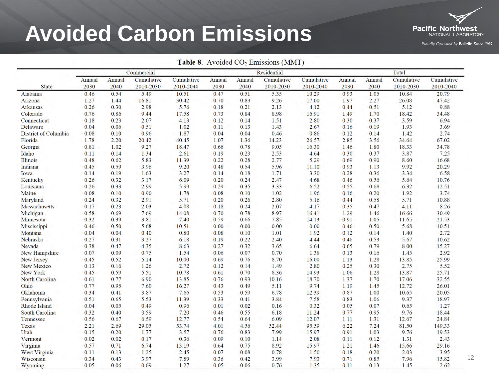# **Avoided Carbon Emissions**



Proudly Operated by Battelle Since 1965

| Table 8. Avoided CO <sub>2</sub> Emissions (MMT) |                |                |                         |                         |                |                |                         |                         |                |                |                         |                         |
|--------------------------------------------------|----------------|----------------|-------------------------|-------------------------|----------------|----------------|-------------------------|-------------------------|----------------|----------------|-------------------------|-------------------------|
|                                                  | Commercial     |                |                         |                         |                |                | Residential             |                         |                |                | Total                   |                         |
| <b>State</b>                                     | Annual<br>2030 | Annual<br>2040 | Cumulative<br>2010-2030 | Cumulative<br>2010-2040 | Annual<br>2030 | Annual<br>2040 | Cumulative<br>2010-2030 | Cumulative<br>2010-2040 | Annual<br>2030 | Annual<br>2040 | Cumulative<br>2010-2030 | Cumulative<br>2010-2040 |
| Alabama                                          | 0.46           | 0.54           | 5.49                    | 10.51                   | 0.47           | 0.51           | 5.35                    | 10.29                   | 0.93           | 1.05           | 10.84                   | 20.79                   |
| Arizona                                          | 1.27           | 1.44           | 16.81                   | 30.42                   | 0.70           | 0.83           | 9.26                    | 17.00                   | 1.97           | 2.27           | 26.08                   | 47.42                   |
| <b>Arkansas</b>                                  | 0.26           | 0.30           | 2.98                    | 5.76                    | 0.18           | 0.21           | 2.13                    | 4.12                    | 0.44           | 0.51           | 5.12                    | 9.88                    |
| Colorado                                         | 0.76           | 0.86           | 9.44                    | 17.58                   | 0.73           | 0.84           | 8.98                    | 16.91                   | 1.49           | 1.70           | 18.42                   | 34.48                   |
| Connecticut                                      | 0.18           | 0.23           | 2.07                    | 4.13                    | 0.12           | 0.14           | 1.51                    | 2.80                    | 0.30           | 0.37           | 3.59                    | 6.94                    |
| Delaware                                         | 0.04           | 0.06           | 0.51                    | 1.02                    | 0.11           | 0.13           | 1.43                    | 2.67                    | 0.16           | 0.19           | 1.93                    | 3.69                    |
| <b>District of Columbia</b>                      | 0.08           | 0.10           | 0.96                    | 1.87                    | 0.04           | 0.04           | 0.46                    | 0.86                    | 0.12           | 0.14           | 1.42                    | 2.74                    |
| Florida                                          | 1.78           | 2.20           | 20.42                   | 40.45                   | 1.07           | 1.36           | 14.23                   | 26.57                   | 2.85           | 3.56           | 34.64                   | 67.02                   |
| Georgia                                          | 0.81           | 1.02           | 9.27                    | 18.47                   | 0.66           | 0.78           | 9.05                    | 16.30                   | 1.46           | 1.80           | 18.33                   | 34.78                   |
| Idaho                                            | 0.11           | 0.14           | 1.34                    | 2.61                    | 0.19           | 0.23           | 2.53                    | 4.64                    | 0.30           | 0.37           | 3.87                    | 7.25                    |
| <b>Illinois</b>                                  | 0.48           | 0.62           | 5.83                    | 11.39                   | 0.22           | 0.28           | 2.77                    | 5.29                    | 0.69           | 0.90           | 8.60                    | 16.68                   |
| Indiana                                          | 0.45           | 0.59           | 3.96                    | 9.20                    | 0.48           | 0.54           | 5.96                    | 11.10                   | 0.93           | 1.13           | 9.92                    | 20.29                   |
| Iowa                                             | 0.14           | 0.19           | 1.63                    | 3.27                    | 0.14           | 0.18           | 1.71                    | 3.30                    | 0.28           | 0.36           | 3.34                    | 6.58                    |
| Kentucky                                         | 0.26           | 0.32           | 3.17                    | 6.09                    | 0.20           | 0.24           | 2.47                    | 4.68                    | 0.46           | 0.56           | 5.64                    | 10.76                   |
| Louisiana                                        | 0.26           | 0.33           | 2.99                    | 5.99                    | 0.29           | 0.35           | 3.33                    | 6.52                    | 0.55           | 0.68           | 6.32                    | 12.51                   |
| Maine                                            | 0.08           | 0.10           | 0.90                    | 1.78                    | 0.08           | 0.10           | 1.02                    | 1.96                    | 0.16           | 0.20           | 1.92                    | 3.74                    |
|                                                  |                |                |                         |                         |                |                |                         |                         |                |                |                         |                         |
| Maryland                                         | 0.24           | 0.32           | 2.91                    | 5.71                    | 0.20           | 0.26           | 2.80                    | 5.16                    | 0.44           | 0.58           | 5.71                    | 10.88                   |
| Massachusetts                                    | 0.17           | 0.23           | 2.03                    | 4.08                    | 0.18           | 0.24           | 2.07                    | 4.17                    | 0.35           | 0.47           | 4.11                    | 8.26                    |
| Michigan                                         | 0.58           | 0.69           | 7.69                    | 14.08                   | 0.70           | 0.78           | 8.97                    | 16.41                   | 1.29           | 1.46           | 16.66                   | 30.49                   |
| Minnesota                                        | 0.32           | 0.39           | 3.81                    | 7.40                    | 0.59           | 0.66           | 7.85                    | 14.13                   | 0.91           | 1.05           | 11.65                   | 21.53                   |
| Mississippi                                      | 0.46           | 0.50           | 5.68                    | 10.51                   | 0.00           | 0.00           | 0.00                    | 0.00                    | 0.46           | 0.50           | 5.68                    | 10.51                   |
| Montana                                          | 0.04           | 0.04           | 0.40                    | 0.80                    | 0.08           | 0.10           | 1.01                    | 1.92                    | 0.12           | 0.14           | 1.40                    | 2.72                    |
| Nebraska                                         | 0.27           | 0.31           | 3.27                    | 6.18                    | 0.19           | 0.22           | 2.40                    | 4.44                    | 0.46           | 0.53           | 5.67                    | 10.62                   |
| Nevada                                           | 0.38           | 0.47           | 4.35                    | 8.63                    | 0.27           | 0.32           | 3.65                    | 6.64                    | 0.65           | 0.79           | 8.00                    | 15.27                   |
| New Hampshire                                    | 0.07           | 0.09           | 0.75                    | 1.54                    | 0.06           | 0.07           | 0.70                    | 1.38                    | 0.13           | 0.16           | 1.45                    | 2.92                    |
| <b>New Jersey</b>                                | 0.45           | 0.52           | 5.14                    | 10.00                   | 0.69           | 0.76           | 8.70                    | 16.00                   | 1.13           | 1.28           | 13.85                   | 25.99                   |
| New Mexico                                       | 0.13           | 0.16           | 1.26                    | 2.72                    | 0.12           | 0.14           | 1.49                    | 2.80                    | 0.25           | 0.30           | 2.75                    | 5.52                    |
| New York                                         | 0.45           | 0.59           | 5.51                    | 10.78                   | 0.61           | 0.70           | 8.36                    | 14.93                   | 1.06           | 1.28           | 13.87                   | 25.71                   |
| North Carolina                                   | 0.61           | 0.77           | 6.90                    | 13.85                   | 0.76           | 0.93           | 10.16                   | 18.70                   | 1.37           | 1.70           | 17.06                   | 32.55                   |
| Ohio                                             | 0.77           | 0.95           | 7.60                    | 16.27                   | 0.43           | 0.49           | 5.11                    | 9.74                    | 1.19           | 1.45           | 12.72                   | 26.01                   |
| Oklahoma                                         | 0.34           | 0.41           | 3.87                    | 7.66                    | 0.53           | 0.59           | 6.78                    | 12.39                   | 0.87           | 1.00           | 10.65                   | 20.05                   |
| Pennsylvania                                     | 0.51           | 0.65           | 5.53                    | 11.39                   | 0.33           | 0.41           | 3.84                    | 7.58                    | 0.83           | 1.06           | 9.37                    | 18.97                   |
| Rhode Island                                     | 0.04           | 0.05           | 0.49                    | 0.96                    | 0.01           | 0.02           | 0.16                    | 0.32                    | 0.05           | 0.07           | 0.65                    | 1.27                    |
| <b>South Carolina</b>                            | 0.32           | 0.40           | 3.59                    | 7.20                    | 0.46           | 0.55           | 6.18                    | 11.24                   | 0.77           | 0.95           | 9.76                    | 18.44                   |
| Tennessee                                        | 0.56           | 0.67           | 6.59                    | 12.77                   | 0.54           | 0.64           | 6.09                    | 12.07                   | 1.11           | 1.31           | 12.67                   | 24.84                   |
| Texas                                            | 2.21           | 2.69           | 29.05                   | 53.74                   | 4.01           | 4.56           | 52.44                   | 95.59                   | 6.22           | 7.24           | 81.50                   | 149.33                  |
| Utah                                             | 0.15           | 0.20           | 1.77                    | 3.57                    | 0.76           | 0.83           | 7.99                    | 15.97                   | 0.91           | 1.03           | 9.76                    | 19.53                   |
| Vermont                                          | 0.02           | 0.02           | 0.17                    | 0.36                    | 0.09           | 0.10           | 1.14                    | 2.08                    | 0.11           | 0.12           | 1.31                    | 2.43                    |
| Virginia                                         | 0.57           | 0.71           | 6.74                    | 13.19                   | 0.64           | 0.75           | 8.92                    | 15.97                   | 1.21           | 1.46           | 15.66                   | 29.16                   |
| West Virginia                                    | 0.11           | 0.13           | 1.25                    | 2.45                    | 0.07           | 0.08           | 0.78                    | 1.50                    | 0.18           | 0.20           | 2.03                    | 3.95                    |
| Wisconsin                                        | 0.34           | 0.43           | 3.97                    | 7.89                    | 0.36           | 0.42           | 3.99                    | 7.93                    | 0.71           | 0.85           | 7.96                    | 15.82                   |
| Wyoming                                          | 0.05           | 0.06           | 0.69                    | 1.27                    | 0.05           | 0.06           | 0.76                    | 1.35                    | 0.11           | 0.13           | 1.45                    | 2.62                    |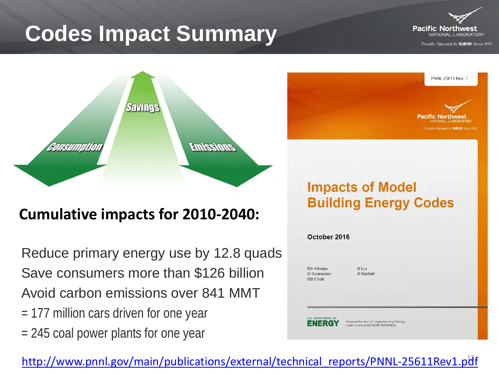# **Codes Impact Summary**



PNNL-25611 Rev.

Pacific Northwes

mudly Oberated by **Rattelle** Since 196

Proudly Operated by Ballelle Since 1965



#### **Cumulative impacts for 2010-2040:**

Reduce primary energy use by 12.8 quads Save consumers more than \$126 billion Avoid carbon emissions over 841 MMT = 177 million cars driven for one year

= 245 coal power plants for one year

**Impacts of Model Building Energy Codes** 



[http://www.pnnl.gov/main/publications/external/technical\\_reports/PNNL-25611Rev1.pdf](http://www.pnnl.gov/main/publications/external/technical_reports/PNNL-25611Rev1.pdf)